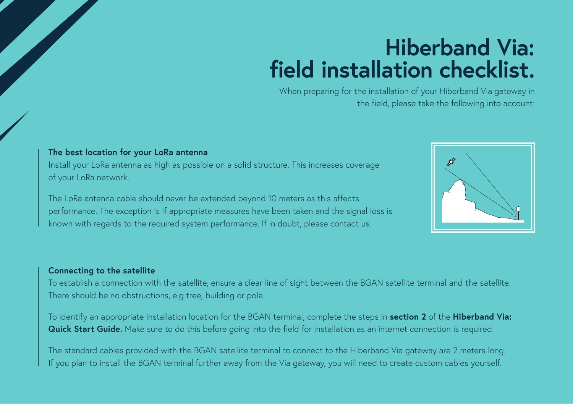# **Hiberband Via: field installation checklist.**

When preparing for the installation of your Hiberband Via gateway in the field, please take the following into account:

### **The best location for your LoRa antenna**

Install your LoRa antenna as high as possible on a solid structure. This increases coverage of your LoRa network.

The LoRa antenna cable should never be extended beyond 10 meters as this affects performance. The exception is if appropriate measures have been taken and the signal loss is known with regards to the required system performance. If in doubt, please contact us.



#### **Connecting to the satellite**

To establish a connection with the satellite, ensure a clear line of sight between the BGAN satellite terminal and the satellite. There should be no obstructions, e.g tree, building or pole.

To identify an appropriate installation location for the BGAN terminal, complete the steps in **section 2** of the **Hiberband Via: Quick Start Guide.** Make sure to do this before going into the field for installation as an internet connection is required.

The standard cables provided with the BGAN satellite terminal to connect to the Hiberband Via gateway are 2 meters long. If you plan to install the BGAN terminal further away from the Via gateway, you will need to create custom cables yourself.